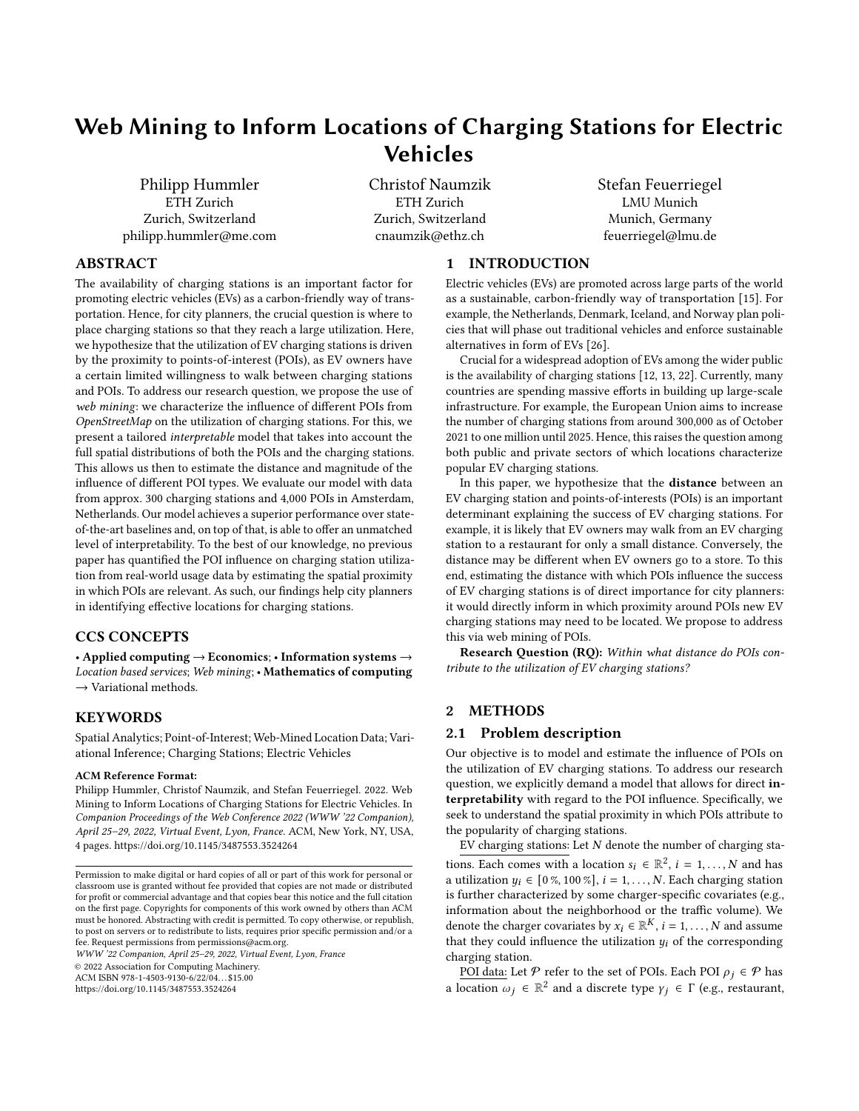# Web Mining to Inform Locations of Charging Stations for Electric Vehicles

Philipp Hummler ETH Zurich Zurich, Switzerland philipp.hummler@me.com Christof Naumzik ETH Zurich Zurich, Switzerland cnaumzik@ethz.ch

Stefan Feuerriegel LMU Munich Munich, Germany feuerriegel@lmu.de

# ABSTRACT

The availability of charging stations is an important factor for promoting electric vehicles (EVs) as a carbon-friendly way of transportation. Hence, for city planners, the crucial question is where to place charging stations so that they reach a large utilization. Here, we hypothesize that the utilization of EV charging stations is driven by the proximity to points-of-interest (POIs), as EV owners have a certain limited willingness to walk between charging stations and POIs. To address our research question, we propose the use of web mining: we characterize the influence of different POIs from OpenStreetMap on the utilization of charging stations. For this, we present a tailored interpretable model that takes into account the full spatial distributions of both the POIs and the charging stations. This allows us then to estimate the distance and magnitude of the influence of different POI types. We evaluate our model with data from approx. 300 charging stations and 4,000 POIs in Amsterdam, Netherlands. Our model achieves a superior performance over stateof-the-art baselines and, on top of that, is able to offer an unmatched level of interpretability. To the best of our knowledge, no previous paper has quantified the POI influence on charging station utilization from real-world usage data by estimating the spatial proximity in which POIs are relevant. As such, our findings help city planners in identifying effective locations for charging stations.

## CCS CONCEPTS

• Applied computing → Economics; • Information systems → Location based services; Web mining; • Mathematics of computing  $\rightarrow$  Variational methods.

## KEYWORDS

Spatial Analytics; Point-of-Interest; Web-Mined Location Data; Variational Inference; Charging Stations; Electric Vehicles

#### ACM Reference Format:

Philipp Hummler, Christof Naumzik, and Stefan Feuerriegel. 2022. Web Mining to Inform Locations of Charging Stations for Electric Vehicles. In Companion Proceedings of the Web Conference 2022 (WWW '22 Companion), April 25–29, 2022, Virtual Event, Lyon, France. ACM, New York, NY, USA, [4](#page-3-0) pages. https://doi.org/10.[1145/3487553](https://doi.org/10.1145/3487553.3524264).3524264

WWW '22 Companion, April 25–29, 2022, Virtual Event, Lyon, France

© 2022 Association for Computing Machinery.

ACM ISBN 978-1-4503-9130-6/22/04. . . \$15.00

https://doi.org/10.[1145/3487553](https://doi.org/10.1145/3487553.3524264).3524264

## 1 INTRODUCTION

Electric vehicles (EVs) are promoted across large parts of the world as a sustainable, carbon-friendly way of transportation [\[15\]](#page-3-1). For example, the Netherlands, Denmark, Iceland, and Norway plan policies that will phase out traditional vehicles and enforce sustainable alternatives in form of EVs [\[26\]](#page-3-2).

Crucial for a widespread adoption of EVs among the wider public is the availability of charging stations [\[12,](#page-3-3) [13,](#page-3-4) [22\]](#page-3-5). Currently, many countries are spending massive efforts in building up large-scale infrastructure. For example, the European Union aims to increase the number of charging stations from around 300,000 as of October 2021 to one million until 2025. Hence, this raises the question among both public and private sectors of which locations characterize popular EV charging stations.

In this paper, we hypothesize that the distance between an EV charging station and points-of-interests (POIs) is an important determinant explaining the success of EV charging stations. For example, it is likely that EV owners may walk from an EV charging station to a restaurant for only a small distance. Conversely, the distance may be different when EV owners go to a store. To this end, estimating the distance with which POIs influence the success of EV charging stations is of direct importance for city planners: it would directly inform in which proximity around POIs new EV charging stations may need to be located. We propose to address this via web mining of POIs.

Research Question (RQ): Within what distance do POIs contribute to the utilization of EV charging stations?

## 2 METHODS

#### 2.1 Problem description

Our objective is to model and estimate the influence of POIs on the utilization of EV charging stations. To address our research question, we explicitly demand a model that allows for direct interpretability with regard to the POI influence. Specifically, we seek to understand the spatial proximity in which POIs attribute to the popularity of charging stations.

EV charging stations: Let  $N$  denote the number of charging stations. Each comes with a location  $s_i \in \mathbb{R}^2$ ,  $i = 1, ..., N$  and has a utilization  $y_i \in [0 \%, 100 \%], i = 1, \ldots, N$ . Each charging station is further characterized by some charger-specific covariates (e.g., information about the neighborhood or the traffic volume). We denote the charger covariates by  $x_i \in \mathbb{R}^K$ ,  $i = 1, ..., N$  and assume that they could influence the utilization  $y_i$  of the corresponding charging station.

POI data: Let  $P$  refer to the set of POIs. Each POI  $\rho_i \in P$  has a location  $\omega_j \in \mathbb{R}^2$  and a discrete type  $\gamma_j \in \Gamma$  (e.g., restaurant,

Permission to make digital or hard copies of all or part of this work for personal or classroom use is granted without fee provided that copies are not made or distributed for profit or commercial advantage and that copies bear this notice and the full citation on the first page. Copyrights for components of this work owned by others than ACM must be honored. Abstracting with credit is permitted. To copy otherwise, or republish, to post on servers or to redistribute to lists, requires prior specific permission and/or a fee. Request permissions from permissions@acm.org.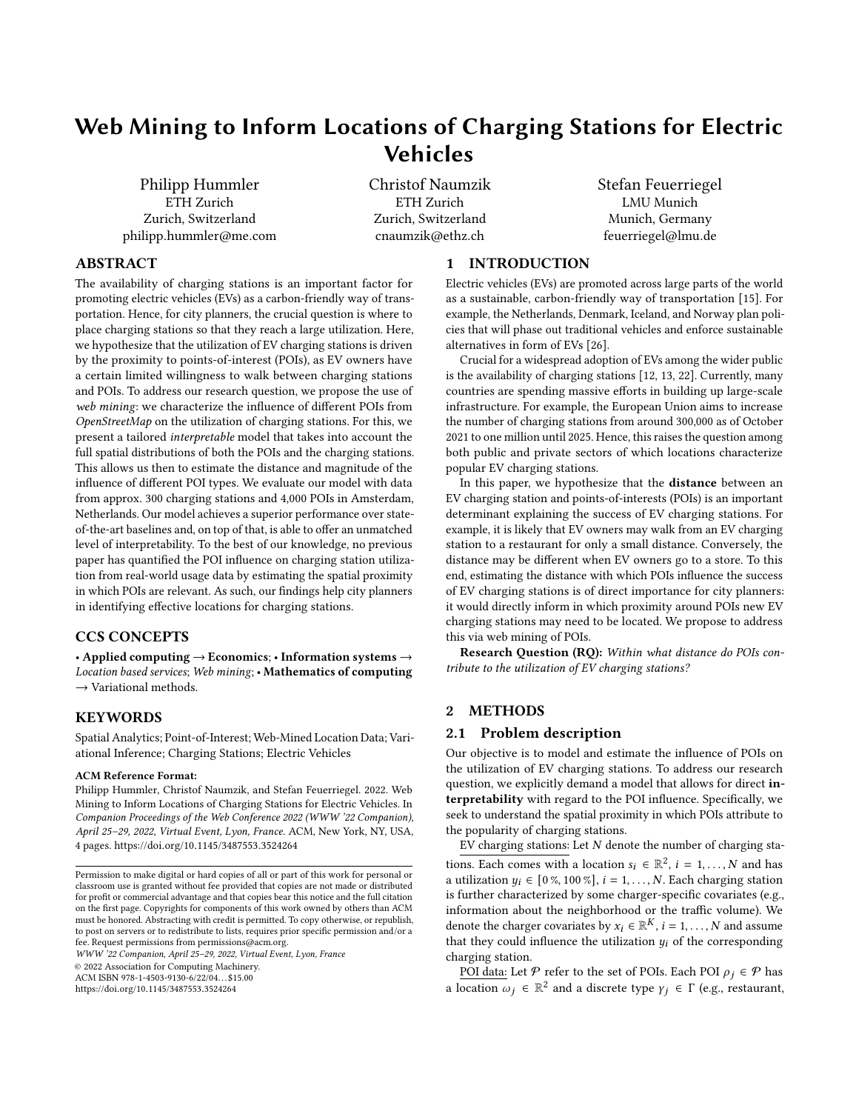public store, public transportation). We write the POI as a tuple  $\rho_i = (\omega_i, \gamma_i).$ 

Based on the above, we then estimate a model  $y_i \sim p(f(\mathbf{x}_i, s_i, \mathcal{P})),$ for  $i = 1, \ldots, N$ . Of note, both EV charging stations and POIs have a spatial distribution that must be carefully modeled. As such, we require a spatial model that accounts for the different locations of both. Our model should further consider that each POI (of type  $\gamma$ ) only influences the utilization within a radius  $\theta_{\gamma}$  ("walking distance").

## 2.2 Model specification

Components: We standardize  $y_i$  and model it using a Gaussian likelihood.<sup>[1](#page-1-0)</sup> As in [\[14\]](#page-3-6), our model consists of three separate components: (1) a charger influence, (2) a POI influence, and (3) spatial heterogeneity.<sup>[2](#page-1-1)</sup>

- (1) The **charger influence** is captured by the term  $g(\mathbf{x}_i; \mathbf{y}_x)$ , where  $x_i$  are the charger-specific covariates and  $\mathcal{Y}_x$  parameters of the function  $g$ . We later set  $g$  to a neural network (and linear functions in the sensitivity analysis).
- (2) The **POI influence** of a single POI  $\rho = (\omega, \gamma)$  is modeled through a scaling factor  $\alpha_{\rho}$  (the magnitude of the influence) and a kernel function  $k_Y(s_i, \omega; \mathcal{Y}_Y)$  with parameters  $\mathcal{Y}_Y$ . The kernel function accounts for the distance  $||s_i - \omega||$  between a charging station at  $s_i$  and a POI at  $\omega$ . Importantly, the scaling factor  $\alpha_{\rho}$  is specific to each POI  $\rho$  and the kernel function  $k_{\gamma}$ is specific to the type  $\gamma$  of the POI.
- (3) The **spatial heterogeneity**  $h_0(s_i; \lambda)$  should capture all remaining variation within cities beyond charger/POI influence (e.g., if a certain city area is more popular). For city planners, this gives the baseline utilization in the city. Following [\[1\]](#page-3-7), the spatial heterogeneity was estimated via a latent zero-mean Gaussian process  $\mathcal{GP}(0, k_0(\cdot, \cdot; \lambda_0))$  with a kernel function  $k_0$ (here: Matérn [3](#page-1-2)/2 kernel $^3$ ) and parameters  $\bm{\mathcal{)}_0.}$

Regression: Combining the previous components and denoting  $(1 - \lambda_x, \lambda_y, \lambda_0)$ , we yield

$$
f(\mathbf{x}_i, s_i, \mathcal{P}; \mathbf{y}) = \underbrace{q(\mathbf{x}_i; \mathbf{y}_x)}_{\text{charge}} + \underbrace{q(\mathbf{x}_i; \mathbf{y}_x)}_{\text{influence}} + \underbrace{q(\mathbf{x}_i, \mathbf{y}_i; \mathbf{y}_y)}_{\text{pof}} + \underbrace{q(\mathbf{x}_i; \mathbf{y}_0)}_{\text{beta}}.
$$

Kernel: In our model, the kernel  $k<sub>V</sub>$  is responsible for capturing the POI influence by distance. To answer our research question, we use a ReLU (rectified linear unit) kernel. It leads to a linear effect up to a certain maximum distance  $\theta_Y$ . Beyond the distance  $\theta_Y$ , the influence

of the POI is set to zero, i.e.,  $k_Y(s, \omega; \theta_Y) = \text{ReLU} \left( 1 - \frac{\|s - \omega\|}{\theta_w} \right)$  $\frac{\overline{-\omega_{\parallel}}}{\theta_{\rm W}}$  .

#### <span id="page-1-4"></span>2.3 Interpretability

Our POI model allows for direct interpretability to answer our research question. Formally, our model returns two quantities to understand the influence of a certain POI on the utilization of EV charging stations:

- (1) Distance. The ReLU kernel defines a maximum distance (which we refer to as "cut-off distance" or "walking distance") around POIs within which the POI influence is non-zero. This is provided in form of a radius  $\theta_Y$  (e.g., a POI may only influence the popularity of an EV charging station within 100 m or 200 m as EV owners typically do not walk any farther). Crucially, the radius is directly learned from observational data. Moreover, the radius is specific to each POI type  $\gamma$ . For example, there may be a longer walking distance for POI type "store", than for POI type "restaurant".
- (2) Magnitude. The overall magnitude of the POI influence is determined by the scaling factor  $\alpha_{\rho}$ . The scaling factor is allowed to vary across POIs, and we thus have an estimate for the influence of each POI. We can also compare the influence of different POI types by computing the average effect size of all POIs of a specific type  $\gamma$  via  $\bar{\alpha}_{\gamma} = \frac{1}{|\mathcal{P}_{\gamma}|} \int_{\rho \in \mathcal{P}_{\gamma}} |\alpha_{\rho}|$ , where  $P_Y$  is the set of POIs of type  $\gamma$ .

## 2.4 Estimation

We estimate the model via the following efficient learning algorithm. Specifically, by adapting [\[14\]](#page-3-6), we yield a tailored sparse variational inference for our problem. We use the combined influence of all POIs of type  $\gamma$ , i.e.,

$$
h_Y(s_i, V_Y; \mathcal{Y}_Y) = \sum_{\rho = (\omega, \gamma) \in V_W} \alpha_{\rho} k_Y(s_i, \omega; \mathcal{Y}_Y)
$$

to write our model as

write our model as  

$$
f(\mathbf{x}_i, s_i, \mathcal{P}; \mathbf{y}) = g(\mathbf{x}_i; \mathbf{y}_x) + \sum_{\gamma \in \Gamma} h_{\gamma}(s_i, V_{\gamma}; \mathbf{y}_x) + h_0(s_i; \mathbf{y}_0),
$$

for  $i = 1, ..., N$ . As shown in [\[14\]](#page-3-6),  $h<sub>\gamma</sub>$  is given by a zero-mean Gaussian process  $\mathcal{GP}(0,\tilde{k}_Y(\cdot,\cdot;\theta_Y)).^4$  $\mathcal{GP}(0,\tilde{k}_Y(\cdot,\cdot;\theta_Y)).^4$ 

Let  $\Gamma_0 = \Gamma \cup \{0\}$  be the index set for the Gaussian processes  $h_0$ and  $h_Y$ . We have the likelihood  $p(- | f)$  for our model. Its form is chosen in accordance with the distribution of our target variable  $y_i$ . We derive the so-called evidence lower bound (ELBO), which gives a lower bound for the marginal likelihood  $p(y)$ , to find a variational Gaussian approximation  $q(h<sub>y</sub>)$  of the true posterior distribution  $p(h_Y | \sim)$ . We further improve the scalability through a sparse approximation using an extension of the inducing point method from  $[6]$ . That is, we sample  $M$  inducing points from the locations of the charging stations and denote with  $u<sub>y</sub>$  the output of the Gaussian process  $h<sub>y</sub>$  at the inducing points. The ELBO with inducing points for additive latent Gaussian processes is then

$$
\log p(\sim) \geq \mathbb{E}_{q(\bm{h}_0)} q(h_{W_1}) \cdots q(h_{W_{|\Gamma|}}) \log p(\sim | \bm{h}_0, \bm{h}_{\gamma_1}, ..., \bm{h}_{\gamma_{|\Gamma|}}) - \mathbb{K} L \ q(\bm{u}_Y) \ p(\bm{u}_Y) .
$$
 (1)

The training objective is then to maximize this ELBO. Finally, we generate predictions for  $h<sub>y</sub>$  at a new location s<sup>\*</sup> via

$$
q(\mathbf{h}_{\gamma}^*) = p(\mathbf{h}_{\gamma}^* \mid \mathbf{u}_{\gamma}) q(\mathbf{u}_{\gamma}) d\mathbf{u}_{\gamma}. \tag{2}
$$

<span id="page-1-0"></span> $^1\mathrm{The}$  output of our model parameterizes the mean and the standard deviation is estimated during the training, i.e.,  $y_8 \sim p(f(\mathbf{X}_8, s_8, \mathcal{P}); \sigma)$ .

<span id="page-1-1"></span><sup>&</sup>lt;sup>2</sup>Code and data is available from https://github.[com/philipphu/poi-ev-charging](https://github.com/philipphu/poi-ev-charging-stations)[stations.](https://github.com/philipphu/poi-ev-charging-stations)

<span id="page-1-2"></span><sup>&</sup>lt;sup>3</sup>A Matérn 3/2 kernel is preferred in spatial modeling as the infinitely differentiability of the Gaussian kernel is considered unrealistic for physical processes [\[19\]](#page-3-8).

<span id="page-1-3"></span> ${}^4 \tilde{k}_W(s, s'; \mathcal{Y}_W) = \mathbb{E} \; h_W(s) \; h_W(s') \; .$  See also [\[14\]](#page-3-6).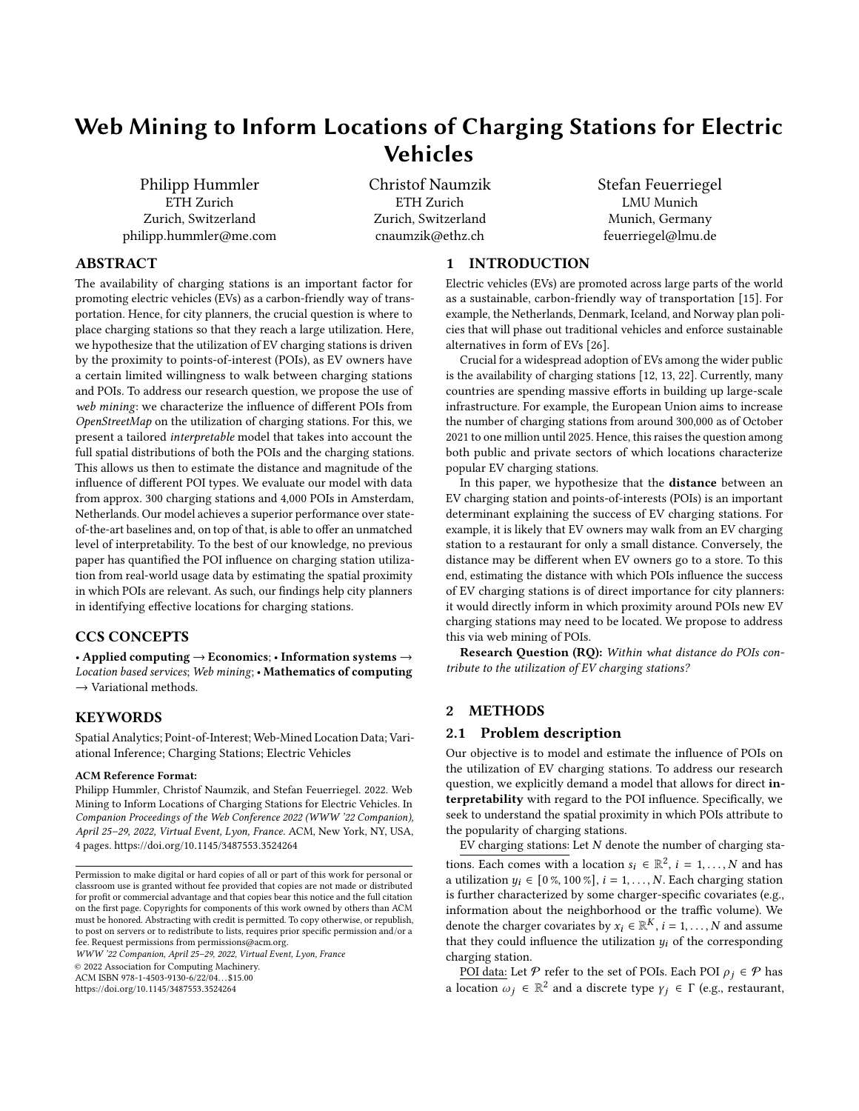Of note, hyperparameters in the above POI model are absent. Rather, all parameters can be directly estimated from observational data. The training of our POI model took less than two minutes using a 12-core CPU. For the evaluation, we split the data into a training and a test set using an 80:20 ratio.

## 2.5 Baselines

We compare our model against several state-of-the-art baselines for POI modeling, which combine (1) feature engineering and (2) a prediction model. Here, our feature engineering is analogous to earlier research [\[9,](#page-3-10) [11,](#page-3-11) [23,](#page-3-12) [25,](#page-3-13) [27,](#page-3-14) [28\]](#page-3-15):

- (1) Distance-based POI features [\[23,](#page-3-12) [28\]](#page-3-15): For each  $y_i$  and each POI type  $\gamma$ , we compute the distance between the location  $s_i$  of  $y_i$ and the closest POI of type  $\gamma$ . Hence, this provides the shortest distance to the next POI of a given type.
- (2) Density-based POI features [\[9–](#page-3-10)[11,](#page-3-11) [25,](#page-3-13) [27\]](#page-3-14): For each observation  $y_i$  at location  $s_i$  and each POI type  $\gamma$ , we count the number of POIs of type  $\gamma$  at locations  $\omega_j$  within a given distance  $D_n^{\gamma}$ max to the observation; i.e.,  $\rho_j \in \mathcal{P}$ :  $s_i - \omega_j < D_{\text{max}}^Y$ . Hence, this captures the relative density of POIs within a spatial area. Here,  $D_{\text{max}}^{\gamma}$  is tuned via grid search.

Using the above feature engineering, we then use the following spatial baselines: geographically weighted regression (GWR) [\[3\]](#page-3-16), linear kriging [\[1\]](#page-3-7), RF kriging with random forest [\[14\]](#page-3-6), and a deep neural network [\[14\]](#page-3-6).

#### 3 DATA

EV charging stations: Our data comprises  $N = 287$  charging stations from Amsterdam [\[2\]](#page-3-17). For them, we generated a dataset consisting of location  $s_i$  and average utilization  $y_i$ .<sup>[5](#page-2-0)</sup>

For each charging station, additional charger covariates  $x_i$  were retrieved: the population density of the neighborhood; the average income per person in the neighborhood (log-transformed); the car density of the neighbourhood; and a binary dummy whether a major road is within 250 m. Here, neighborhood refers to one of the 15 official boroughs for administrative purposes.

POI data: POIs were obtained from OpenStreetMap.<sup>[6](#page-2-1)</sup> For better interpretability, we choose the following POI types  $y$ : (i) restaurants, (ii) stores (i.e., clothing stores, department stores, grocery stores, supermarkets, and shopping malls), (iii) education (i.e., schools and universities), and (iv) public transportation (i.e., stations for bus, metro, and train). The latter is relevant for Amsterdam as it is common for employees from outside of Amsterdam to use so-called park-and-ride offers to travel to the city center. As a result, our dataset contains 4,036 POIs.

#### 4 RESULTS

Overall performance: Table [1](#page-2-2) compares the different models across (1) the out-of-sample root mean squared error (RMSE) in predicting  $y_i$  and (2) the log-likelihood of the corresponding model.

<span id="page-2-1"></span><sup>6</sup>https://www.[openstreetmap](https://www.openstreetmap.org).org

<span id="page-2-2"></span>For the baselines, we report variants with and without POI features. The additional POI information improved the performance of GWR and linear kriging, while the opposite is true for RF kriging and the neural network. Our POI model outperforms all baselines.

| Model [feature engineering]             | <b>RMSE</b> | Log-lik.      |  |
|-----------------------------------------|-------------|---------------|--|
| GWR [none]                              | 1.164       | $-86.396$     |  |
| GWR [both]                              | 1.131       | $-84.793$     |  |
| Linear kriging [none]                   | 1.116       | $-84.102$     |  |
| Linear kriging [both]                   | 1.094       | $-82.979$     |  |
| RF kriging [none]                       | 1.148       | $-85.638$     |  |
| RF kriging [both]                       | 1.162       | $-86.285$     |  |
| Neural network [none]                   | 1.125       | $-84.501$     |  |
| Neural network [both]                   | 1.200       | $-88.102$     |  |
| POI model (ours)                        |             | 1.066 -81.561 |  |
| Note: Best value per column is in bold. |             |               |  |

#### Table 1: Out-of-sample performance of the different models.

Interpretation of POI influence: We now proceed by answering our research question. Here, we remind that a core strength of our POI model is its ability to estimate the parameters describing the influence of different POI types. Specifically, we can interpret both (1) the maximimum distance  $\theta_Y$  ("radius") and (2) the magnitude of the effect,  $\overline{\alpha}_{\gamma}$ . See Sec. [2.3](#page-1-4) for details. The estimation results are in Table [2.](#page-2-3)

We arrive at the following findings in response to our research question: (1) The influence of POIs varies across different types. The largest distance  $\theta_Y$  for a non-zero influence is found for POIs of type "education". Here, the distance is approx. twice as large as the corresponding distance for restaurants, stores, and public transportation stops. This implies that, on average, EV owners are more willing to walk longer between charging stations and education-related POIs (i.e., schools or universities). For example, our model estimates the walking distance to 297 m for restaurants and to 643 m for buildings for education. (2) Schools and universities have the largest overall effect size in attracting a high utilization of EV charging stations.

<span id="page-2-3"></span>

| <b>Distance</b> | Magnitude |                                                            |
|-----------------|-----------|------------------------------------------------------------|
|                 |           | SD                                                         |
| 0.297           | 0.002     | 0.007                                                      |
| 0.279           | 0.001     | 0.004                                                      |
| 0.643           | 0.031     | 0.055                                                      |
| 0.351           | 0.003     | 0.013                                                      |
|                 |           | Cut-off $\theta_W$ [in km] Average effect $\bar{\alpha}_W$ |

#### Table 2: Estimated parameters of the POI influence.

Finally, we also plot the remaining spatial heterogeneity  $h_0$  in Fig. [1.](#page-3-18) Here, for instance, we observe a strong negative influence in the northwest of Amsterdam that gradually becomes weaker when moving towards the southeastern part of the city. This points to neighborhoods where the baseline utilization is high.

Sensitivity analysis: Our model allows for different degrees of freedom: one can use (1) different functions  $g$  to model the charger influence (e.g., neural networks as a non-linear alternative) and (2) different kernel functions. In addition to the ReLU kernel, we also tested a Gaussian kernel function. The Gaussian kernel yields a decay following a normal distribution as the distance increases, i.e.,  $k_Y(s, \omega; \theta_Y) = \exp \left(-\frac{\|s - \omega\|^2}{2\theta^2}\right)$  $\frac{2-\omega_{\parallel}}{2\theta_{W}^{2}}$  . Results are in Table [3.](#page-3-19) The ReLU kernel outperforms the Gaussian kernel. The neural network out-

performs the linear choice for  $g$  at the expense of interpretability.

<span id="page-2-0"></span><sup>&</sup>lt;sup>5</sup>Specifically, the utilization was obtained by repeatedly querying the public API https://www.nuon.[nl/ev/publiek/kaartoplaadpunten](https://www.nuon.nl/ev/publiek/kaartoplaadpunten.do).do every minute about the realtime usage status. Altogether, this resulted in ∼150 million observations for an eightmonth period (July 01, 2013 through January 31, 2014). These were then aggregated into an overall utilization per charging station. For charging stations with multiple outlets, the mean utilization of all outlets was used.